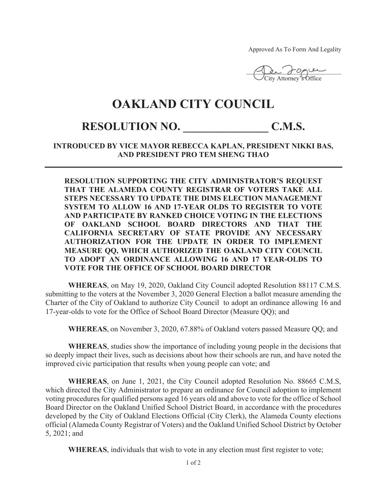Approved As To Form And Legality

 $M_{\text{c}}$  force **City Attorney's Office** 

## **OAKLAND CITY COUNCIL**

## RESOLUTION NO. C.M.S.

**INTRODUCED BY VICE MAYOR REBECCA KAPLAN, PRESIDENT NIKKI BAS, AND PRESIDENT PRO TEM SHENG THAO**

**RESOLUTION SUPPORTING THE CITY ADMINISTRATOR'S REQUEST THAT THE ALAMEDA COUNTY REGISTRAR OF VOTERS TAKE ALL STEPS NECESSARY TO UPDATE THE DIMS ELECTION MANAGEMENT SYSTEM TO ALLOW 16 AND 17-YEAR OLDS TO REGISTER TO VOTE AND PARTICIPATE BY RANKED CHOICE VOTING IN THE ELECTIONS OF OAKLAND SCHOOL BOARD DIRECTORS AND THAT THE CALIFORNIA SECRETARY OF STATE PROVIDE ANY NECESSARY AUTHORIZATION FOR THE UPDATE IN ORDER TO IMPLEMENT MEASURE QQ, WHICH AUTHORIZED THE OAKLAND CITY COUNCIL TO ADOPT AN ORDINANCE ALLOWING 16 AND 17 YEAR-OLDS TO VOTE FOR THE OFFICE OF SCHOOL BOARD DIRECTOR** 

**WHEREAS**, on May 19, 2020, Oakland City Council adopted Resolution 88117 C.M.S. submitting to the voters at the November 3, 2020 General Election a ballot measure amending the Charter of the City of Oakland to authorize City Council to adopt an ordinance allowing 16 and 17-year-olds to vote for the Office of School Board Director (Measure QQ); and

**WHEREAS**, on November 3, 2020, 67.88% of Oakland voters passed Measure QQ; and

**WHEREAS**, studies show the importance of including young people in the decisions that so deeply impact their lives, such as decisions about how their schools are run, and have noted the improved civic participation that results when young people can vote; and

**WHEREAS**, on June 1, 2021, the City Council adopted Resolution No. 88665 C.M.S, which directed the City Administrator to prepare an ordinance for Council adoption to implement voting procedures for qualified persons aged 16 years old and above to vote for the office of School Board Director on the Oakland Unified School District Board, in accordance with the procedures developed by the City of Oakland Elections Official (City Clerk), the Alameda County elections official (Alameda County Registrar of Voters) and the Oakland Unified School District by October 5, 2021; and

**WHEREAS**, individuals that wish to vote in any election must first register to vote;